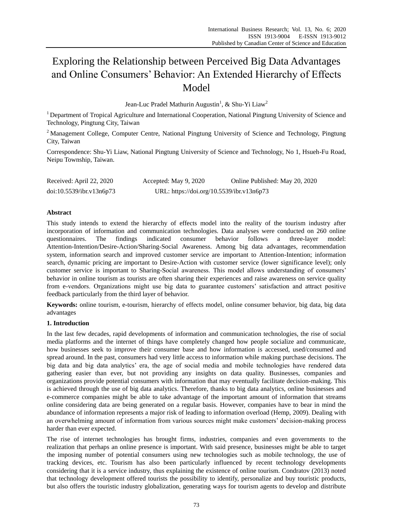# Exploring the Relationship between Perceived Big Data Advantages and Online Consumers' Behavior: An Extended Hierarchy of Effects Model

Jean-Luc Pradel Mathurin Augustin $^1$ , & Shu-Yi Liaw $^2$ 

<sup>1</sup> Department of Tropical Agriculture and International Cooperation, National Pingtung University of Science and Technology, Pingtung City, Taiwan

<sup>2</sup> Management College, Computer Centre, National Pingtung University of Science and Technology, Pingtung City, Taiwan

Correspondence: Shu-Yi Liaw, National Pingtung University of Science and Technology, No 1, Hsueh-Fu Road, Neipu Township, Taiwan.

| Received: April 22, 2020 | Accepted: May 9, 2020                     | Online Published: May 20, 2020 |
|--------------------------|-------------------------------------------|--------------------------------|
| doi:10.5539/ibr.v13n6p73 | URL: https://doi.org/10.5539/ibr.v13n6p73 |                                |

# **Abstract**

This study intends to extend the hierarchy of effects model into the reality of the tourism industry after incorporation of information and communication technologies. Data analyses were conducted on 260 online questionnaires. The findings indicated consumer behavior follows a three-layer model: Attention-Intention/Desire-Action/Sharing-Social Awareness. Among big data advantages, recommendation system, information search and improved customer service are important to Attention-Intention; information search, dynamic pricing are important to Desire-Action with customer service (lower significance level); only customer service is important to Sharing-Social awareness. This model allows understanding of consumers' behavior in online tourism as tourists are often sharing their experiences and raise awareness on service quality from e-vendors. Organizations might use big data to guarantee customers' satisfaction and attract positive feedback particularly from the third layer of behavior.

**Keywords:** online tourism, e-tourism, hierarchy of effects model, online consumer behavior, big data, big data advantages

# **1. Introduction**

In the last few decades, rapid developments of information and communication technologies, the rise of social media platforms and the internet of things have completely changed how people socialize and communicate, how businesses seek to improve their consumer base and how information is accessed, used/consumed and spread around. In the past, consumers had very little access to information while making purchase decisions. The big data and big data analytics' era, the age of social media and mobile technologies have rendered data gathering easier than ever, but not providing any insights on data quality. Businesses, companies and organizations provide potential consumers with information that may eventually facilitate decision-making. This is achieved through the use of big data analytics. Therefore, thanks to big data analytics, online businesses and e-commerce companies might be able to take advantage of the important amount of information that streams online considering data are being generated on a regular basis. However, companies have to bear in mind the abundance of information represents a major risk of leading to information overload (Hemp, 2009). Dealing with an overwhelming amount of information from various sources might make customers' decision-making process harder than ever expected.

The rise of internet technologies has brought firms, industries, companies and even governments to the realization that perhaps an online presence is important. With said presence, businesses might be able to target the imposing number of potential consumers using new technologies such as mobile technology, the use of tracking devices, etc. Tourism has also been particularly influenced by recent technology developments considering that it is a service industry, thus explaining the existence of online tourism. Condratov (2013) noted that technology development offered tourists the possibility to identify, personalize and buy touristic products, but also offers the touristic industry globalization, generating ways for tourism agents to develop and distribute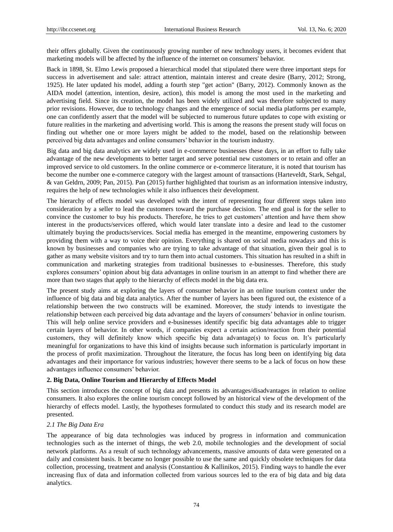their offers globally. Given the continuously growing number of new technology users, it becomes evident that marketing models will be affected by the influence of the internet on consumers' behavior.

Back in 1898, St. Elmo Lewis proposed a hierarchical model that stipulated there were three important steps for success in advertisement and sale: attract attention, maintain interest and create desire (Barry, 2012; Strong, 1925). He later updated his model, adding a fourth step "get action" (Barry, 2012). Commonly known as the AIDA model (attention, intention, desire, action), this model is among the most used in the marketing and advertising field. Since its creation, the model has been widely utilized and was therefore subjected to many prior revisions. However, due to technology changes and the emergence of social media platforms per example, one can confidently assert that the model will be subjected to numerous future updates to cope with existing or future realities in the marketing and advertising world. This is among the reasons the present study will focus on finding out whether one or more layers might be added to the model, based on the relationship between perceived big data advantages and online consumers' behavior in the tourism industry.

Big data and big data analytics are widely used in e-commerce businesses these days, in an effort to fully take advantage of the new developments to better target and serve potential new customers or to retain and offer an improved service to old customers. In the online commerce or e-commerce literature, it is noted that tourism has become the number one e-commerce category with the largest amount of transactions (Harteveldt, Stark, Sehgal, & van Geldrn, 2009; Pan, 2015). Pan (2015) further highlighted that tourism as an information intensive industry, requires the help of new technologies while it also influences their development.

The hierarchy of effects model was developed with the intent of representing four different steps taken into consideration by a seller to lead the customers toward the purchase decision. The end goal is for the seller to convince the customer to buy his products. Therefore, he tries to get customers' attention and have them show interest in the products/services offered, which would later translate into a desire and lead to the customer ultimately buying the products/services. Social media has emerged in the meantime, empowering customers by providing them with a way to voice their opinion. Everything is shared on social media nowadays and this is known by businesses and companies who are trying to take advantage of that situation, given their goal is to gather as many website visitors and try to turn them into actual customers. This situation has resulted in a shift in communication and marketing strategies from traditional businesses to e-businesses. Therefore, this study explores consumers' opinion about big data advantages in online tourism in an attempt to find whether there are more than two stages that apply to the hierarchy of effects model in the big data era.

The present study aims at exploring the layers of consumer behavior in an online tourism context under the influence of big data and big data analytics. After the number of layers has been figured out, the existence of a relationship between the two constructs will be examined. Moreover, the study intends to investigate the relationship between each perceived big data advantage and the layers of consumers' behavior in online tourism. This will help online service providers and e-businesses identify specific big data advantages able to trigger certain layers of behavior. In other words, if companies expect a certain action/reaction from their potential customers, they will definitely know which specific big data advantage(s) to focus on. It's particularly meaningful for organizations to have this kind of insights because such information is particularly important in the process of profit maximization. Throughout the literature, the focus has long been on identifying big data advantages and their importance for various industries; however there seems to be a lack of focus on how these advantages influence consumers' behavior.

## **2. Big Data, Online Tourism and Hierarchy of Effects Model**

This section introduces the concept of big data and presents its advantages/disadvantages in relation to online consumers. It also explores the online tourism concept followed by an historical view of the development of the hierarchy of effects model. Lastly, the hypotheses formulated to conduct this study and its research model are presented.

## *2.1 The Big Data Era*

The appearance of big data technologies was induced by progress in information and communication technologies such as the internet of things, the web 2.0, mobile technologies and the development of social network platforms. As a result of such technology advancements, massive amounts of data were generated on a daily and consistent basis. It became no longer possible to use the same and quickly obsolete techniques for data collection, processing, treatment and analysis (Constantiou & Kallinikos, 2015). Finding ways to handle the ever increasing flux of data and information collected from various sources led to the era of big data and big data analytics.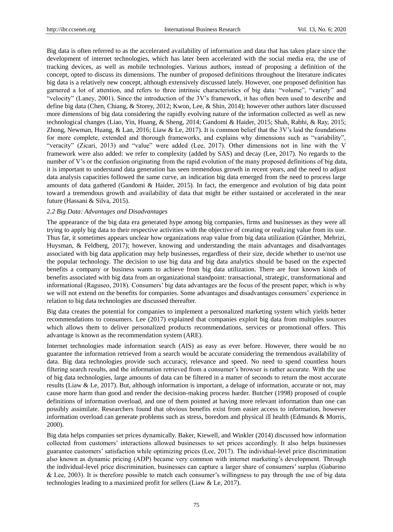Big data is often referred to as the accelerated availability of information and data that has taken place since the development of internet technologies, which has later been accelerated with the social media era, the use of tracking devices, as well as mobile technologies. Various authors, instead of proposing a definition of the concept, opted to discuss its dimensions. The number of proposed definitions throughout the literature indicates big data is a relatively new concept, although extensively discussed lately. However, one proposed definition has garnered a lot of attention, and refers to three intrinsic characteristics of big data: "volume", "variety" and "velocity" (Laney, 2001). Since the introduction of the 3V's framework, it has often been used to describe and define big data (Chen, Chiang, & Storey, 2012; Kwon, Lee, & Shin, 2014); however other authors later discussed more dimensions of big data considering the rapidly evolving nature of the information collected as well as new technological changes (Liao, Yin, Huang, & Sheng, 2014; Gandomi & Haider, 2015; Shah, Rabhi, & Ray, 2015; Zhong, Newman, Huang, & Lan, 2016; Liaw & Le, 2017). It is common belief that the 3V's laid the foundations for more complete, extended and thorough frameworks, and explains why dimensions such as "variability", "veracity" (Zicari, 2013) and "value" were added (Lee, 2017). Other dimensions not in line with the V framework were also added: we refer to complexity (added by SAS) and decay (Lee, 2017). No regards to the number of V's or the confusion originating from the rapid evolution of the many proposed definitions of big data, it is important to understand data generation has seen tremendous growth in recent years, and the need to adjust data analysis capacities followed the same curve, an indication big data emerged from the need to process large amounts of data gathered (Gandomi & Haider, 2015). In fact, the emergence and evolution of big data point toward a tremendous growth and availability of data that might be either sustained or accelerated in the near future (Hassani & Silva, 2015).

#### *2.2 Big Data: Advantages and Disadvantages*

The appearance of the big data era generated hype among big companies, firms and businesses as they were all trying to apply big data to their respective activities with the objective of creating or realizing value from its use. Thus far, it sometimes appears unclear how organizations reap value from big data utilization (Günther, Mehrizi, Huysman, & Feldberg, 2017); however, knowing and understanding the main advantages and disadvantages associated with big data application may help businesses, regardless of their size, decide whether to use/not use the popular technology. The decision to use big data and big data analytics should be based on the expected benefits a company or business wants to achieve from big data utilization. There are four known kinds of benefits associated with big data from an organizational standpoint: transactional, strategic, transformational and informational (Raguseo, 2018). Consumers' big data advantages are the focus of the present paper, which is why we will not extend on the benefits for companies. Some advantages and disadvantages consumers' experience in relation to big data technologies are discussed thereafter.

Big data creates the potential for companies to implement a personalized marketing system which yields better recommendations to consumers. Lee (2017) explained that companies exploit big data from multiples sources which allows them to deliver personalized products recommendations, services or promotional offers. This advantage is known as the recommendation system (ARE).

Internet technologies made information search (AIS) as easy as ever before. However, there would be no guarantee the information retrieved from a search would be accurate considering the tremendous availability of data. Big data technologies provide such accuracy, relevance and speed. No need to spend countless hours filtering search results, and the information retrieved from a consumer's browser is rather accurate. With the use of big data technologies, large amounts of data can be filtered in a matter of seconds to return the most accurate results (Liaw & Le, 2017). But, although information is important, a deluge of information, accurate or not, may cause more harm than good and render the decision-making process harder. Butcher (1998) proposed of couple definitions of information overload, and one of them pointed at having more relevant information than one can possibly assimilate. Researchers found that obvious benefits exist from easier access to information, however information overload can generate problems such as stress, boredom and physical ill health (Edmunds & Morris, 2000).

Big data helps companies set prices dynamically. Baker, Kiewell, and Winkler (2014) discussed how information collected from customers' interactions allowed businesses to set prices accordingly. It also helps businesses guarantee customers' satisfaction while optimizing prices (Lee, 2017). The individual-level price discrimination also known as dynamic pricing (ADP) became very common with internet marketing's development. Through the individual-level price discrimination, businesses can capture a larger share of consumers' surplus (Gabarino & Lee, 2003). It is therefore possible to match each consumer's willingness to pay through the use of big data technologies leading to a maximized profit for sellers (Liaw & Le, 2017).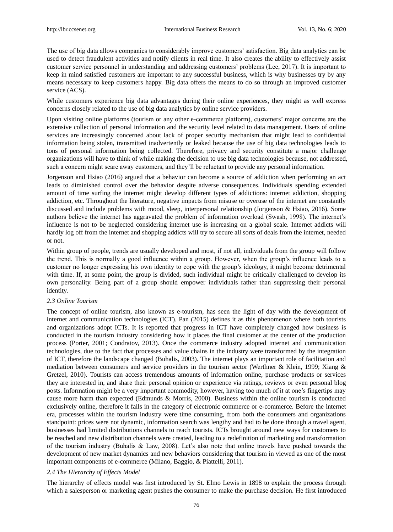The use of big data allows companies to considerably improve customers' satisfaction. Big data analytics can be used to detect fraudulent activities and notify clients in real time. It also creates the ability to effectively assist customer service personnel in understanding and addressing customers' problems (Lee, 2017). It is important to keep in mind satisfied customers are important to any successful business, which is why businesses try by any means necessary to keep customers happy. Big data offers the means to do so through an improved customer service (ACS).

While customers experience big data advantages during their online experiences, they might as well express concerns closely related to the use of big data analytics by online service providers.

Upon visiting online platforms (tourism or any other e-commerce platform), customers' major concerns are the extensive collection of personal information and the security level related to data management. Users of online services are increasingly concerned about lack of proper security mechanism that might lead to confidential information being stolen, transmitted inadvertently or leaked because the use of big data technologies leads to tons of personal information being collected. Therefore, privacy and security constitute a major challenge organizations will have to think of while making the decision to use big data technologies because, not addressed, such a concern might scare away customers, and they'll be reluctant to provide any personal information.

Jorgenson and Hsiao (2016) argued that a behavior can become a source of addiction when performing an act leads to diminished control over the behavior despite adverse consequences. Individuals spending extended amount of time surfing the internet might develop different types of addictions: internet addiction, shopping addiction, etc. Throughout the literature, negative impacts from misuse or overuse of the internet are constantly discussed and include problems with mood, sleep, interpersonal relationship (Jorgenson & Hsiao, 2016). Some authors believe the internet has aggravated the problem of information overload (Swash, 1998). The internet's influence is not to be neglected considering internet use is increasing on a global scale. Internet addicts will hardly log off from the internet and shopping addicts will try to secure all sorts of deals from the internet, needed or not.

Within group of people, trends are usually developed and most, if not all, individuals from the group will follow the trend. This is normally a good influence within a group. However, when the group's influence leads to a customer no longer expressing his own identity to cope with the group's ideology, it might become detrimental with time. If, at some point, the group is divided, such individual might be critically challenged to develop its own personality. Being part of a group should empower individuals rather than suppressing their personal identity.

## *2.3 Online Tourism*

The concept of online tourism, also known as e-tourism, has seen the light of day with the development of internet and communication technologies (ICT). Pan (2015) defines it as this phenomenon where both tourists and organizations adopt ICTs. It is reported that progress in ICT have completely changed how business is conducted in the tourism industry considering how it places the final customer at the center of the production process (Porter, 2001; Condratov, 2013). Once the commerce industry adopted internet and communication technologies, due to the fact that processes and value chains in the industry were transformed by the integration of ICT, therefore the landscape changed (Buhalis, 2003). The internet plays an important role of facilitation and mediation between consumers and service providers in the tourism sector (Werthner & Klein, 1999; Xiang & Gretzel, 2010). Tourists can access tremendous amounts of information online, purchase products or services they are interested in, and share their personal opinion or experience via ratings, reviews or even personal blog posts. Information might be a very important commodity, however, having too much of it at one's fingertips may cause more harm than expected (Edmunds & Morris, 2000). Business within the online tourism is conducted exclusively online, therefore it falls in the category of electronic commerce or e-commerce. Before the internet era, processes within the tourism industry were time consuming, from both the consumers and organizations standpoint: prices were not dynamic, information search was lengthy and had to be done through a travel agent, businesses had limited distributions channels to reach tourists. ICTs brought around new ways for customers to be reached and new distribution channels were created, leading to a redefinition of marketing and transformation of the tourism industry (Buhalis & Law, 2008). Let's also note that online travels have pushed towards the development of new market dynamics and new behaviors considering that tourism in viewed as one of the most important components of e-commerce (Milano, Baggio, & Piattelli, 2011).

## *2.4 The Hierarchy of Effects Model*

The hierarchy of effects model was first introduced by St. Elmo Lewis in 1898 to explain the process through which a salesperson or marketing agent pushes the consumer to make the purchase decision. He first introduced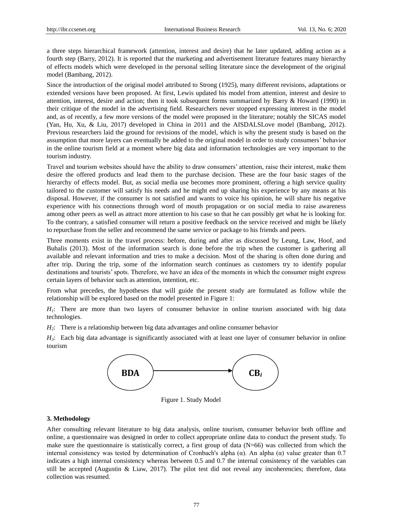a three steps hierarchical framework (attention, interest and desire) that he later updated, adding action as a fourth step (Barry, 2012). It is reported that the marketing and advertisement literature features many hierarchy of effects models which were developed in the personal selling literature since the development of the original model (Bambang, 2012).

Since the introduction of the original model attributed to Strong (1925), many different revisions, adaptations or extended versions have been proposed. At first, Lewis updated his model from attention, interest and desire to attention, interest, desire and action; then it took subsequent forms summarized by Barry & Howard (1990) in their critique of the model in the advertising field. Researchers never stopped expressing interest in the model and, as of recently, a few more versions of the model were proposed in the literature; notably the SICAS model (Yan, Hu, Xu, & Liu, 2017) developed in China in 2011 and the AISDALSLove model (Bambang, 2012). Previous researchers laid the ground for revisions of the model, which is why the present study is based on the assumption that more layers can eventually be added to the original model in order to study consumers' behavior in the online tourism field at a moment where big data and information technologies are very important to the tourism industry.

Travel and tourism websites should have the ability to draw consumers' attention, raise their interest, make them desire the offered products and lead them to the purchase decision. These are the four basic stages of the hierarchy of effects model. But, as social media use becomes more prominent, offering a high service quality tailored to the customer will satisfy his needs and he might end up sharing his experience by any means at his disposal. However, if the consumer is not satisfied and wants to voice his opinion, he will share his negative experience with his connections through word of mouth propagation or on social media to raise awareness among other peers as well as attract more attention to his case so that he can possibly get what he is looking for. To the contrary, a satisfied consumer will return a positive feedback on the service received and might be likely to repurchase from the seller and recommend the same service or package to his friends and peers.

Three moments exist in the travel process: before, during and after as discussed by Leung, Law, Hoof, and Buhalis (2013). Most of the information search is done before the trip when the customer is gathering all available and relevant information and tries to make a decision. Most of the sharing is often done during and after trip. During the trip, some of the information search continues as customers try to identify popular destinations and tourists' spots. Therefore, we have an idea of the moments in which the consumer might express certain layers of behavior such as attention, intention, etc.

From what precedes, the hypotheses that will guide the present study are formulated as follow while the relationship will be explored based on the model presented in Figure 1:

*H<sub>1</sub>*: There are more than two layers of consumer behavior in online tourism associated with big data technologies.

*H2*: There is a relationship between big data advantages and online consumer behavior

*H3*: Each big data advantage is significantly associated with at least one layer of consumer behavior in online tourism



Figure 1. Study Model

#### **3. Methodology**

After consulting relevant literature to big data analysis, online tourism, consumer behavior both offline and online, a questionnaire was designed in order to collect appropriate online data to conduct the present study. To make sure the questionnaire is statistically correct, a first group of data (N=66) was collected from which the internal consistency was tested by determination of Cronbach's alpha (α). An alpha (α) value greater than 0.7 indicates a high internal consistency whereas between 0.5 and 0.7 the internal consistency of the variables can still be accepted (Augustin & Liaw, 2017). The pilot test did not reveal any incoherencies; therefore, data collection was resumed.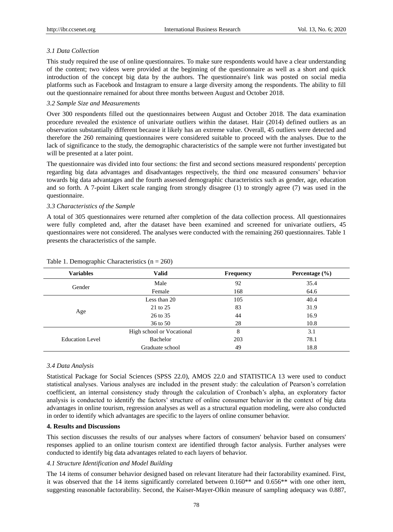## *3.1 Data Collection*

This study required the use of online questionnaires. To make sure respondents would have a clear understanding of the content; two videos were provided at the beginning of the questionnaire as well as a short and quick introduction of the concept big data by the authors. The questionnaire's link was posted on social media platforms such as Facebook and Instagram to ensure a large diversity among the respondents. The ability to fill out the questionnaire remained for about three months between August and October 2018.

## *3.2 Sample Size and Measurements*

Over 300 respondents filled out the questionnaires between August and October 2018. The data examination procedure revealed the existence of univariate outliers within the dataset. Hair (2014) defined outliers as an observation substantially different because it likely has an extreme value. Overall, 45 outliers were detected and therefore the 260 remaining questionnaires were considered suitable to proceed with the analyses. Due to the lack of significance to the study, the demographic characteristics of the sample were not further investigated but will be presented at a later point.

The questionnaire was divided into four sections: the first and second sections measured respondents' perception regarding big data advantages and disadvantages respectively, the third one measured consumers' behavior towards big data advantages and the fourth assessed demographic characteristics such as gender, age, education and so forth. A 7-point Likert scale ranging from strongly disagree (1) to strongly agree (7) was used in the questionnaire.

## *3.3 Characteristics of the Sample*

A total of 305 questionnaires were returned after completion of the data collection process. All questionnaires were fully completed and, after the dataset have been examined and screened for univariate outliers, 45 questionnaires were not considered. The analyses were conducted with the remaining 260 questionnaires. Table 1 presents the characteristics of the sample.

| <b>Variables</b>                        | <b>Valid</b>                                                                     | <b>Frequency</b> | Percentage $(\% )$ |
|-----------------------------------------|----------------------------------------------------------------------------------|------------------|--------------------|
|                                         | Male                                                                             | 92               | 35.4               |
|                                         | Female                                                                           | 168              | 64.6               |
|                                         | Less than 20                                                                     | 105              | 40.4               |
| Gender<br>Age<br><b>Education Level</b> | 21 to 25                                                                         | 83               | 31.9               |
|                                         | 26 to 35<br>36 to 50<br>High school or Vocational<br>Bachelor<br>Graduate school | 44               | 16.9               |
|                                         |                                                                                  | 28               | 10.8               |
|                                         |                                                                                  | 8                | 3.1                |
|                                         |                                                                                  | 203              | 78.1               |
|                                         |                                                                                  | 49               | 18.8               |

## Table 1. Demographic Characteristics  $(n = 260)$

# *3.4 Data Analysis*

Statistical Package for Social Sciences (SPSS 22.0), AMOS 22.0 and STATISTICA 13 were used to conduct statistical analyses. Various analyses are included in the present study: the calculation of Pearson's correlation coefficient, an internal consistency study through the calculation of Cronbach's alpha, an exploratory factor analysis is conducted to identify the factors' structure of online consumer behavior in the context of big data advantages in online tourism, regression analyses as well as a structural equation modeling, were also conducted in order to identify which advantages are specific to the layers of online consumer behavior.

## **4. Results and Discussions**

This section discusses the results of our analyses where factors of consumers' behavior based on consumers' responses applied to an online tourism context are identified through factor analysis. Further analyses were conducted to identify big data advantages related to each layers of behavior.

## *4.1 Structure Identification and Model Building*

The 14 items of consumer behavior designed based on relevant literature had their factorability examined. First, it was observed that the 14 items significantly correlated between 0.160\*\* and 0.656\*\* with one other item, suggesting reasonable factorability. Second, the Kaiser-Mayer-Olkin measure of sampling adequacy was 0.887,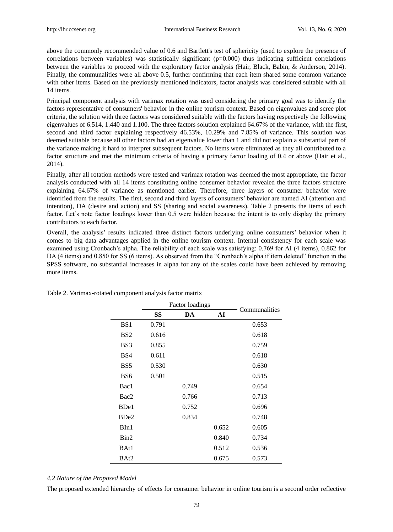above the commonly recommended value of 0.6 and Bartlett's test of sphericity (used to explore the presence of correlations between variables) was statistically significant  $(p=0.000)$  thus indicating sufficient correlations between the variables to proceed with the exploratory factor analysis (Hair, Black, Babin, & Anderson, 2014). Finally, the communalities were all above 0.5, further confirming that each item shared some common variance with other items. Based on the previously mentioned indicators, factor analysis was considered suitable with all 14 items.

Principal component analysis with varimax rotation was used considering the primary goal was to identify the factors representative of consumers' behavior in the online tourism context. Based on eigenvalues and scree plot criteria, the solution with three factors was considered suitable with the factors having respectively the following eigenvalues of 6.514, 1.440 and 1.100. The three factors solution explained 64.67% of the variance, with the first, second and third factor explaining respectively 46.53%, 10.29% and 7.85% of variance. This solution was deemed suitable because all other factors had an eigenvalue lower than 1 and did not explain a substantial part of the variance making it hard to interpret subsequent factors. No items were eliminated as they all contributed to a factor structure and met the minimum criteria of having a primary factor loading of 0.4 or above (Hair et al., 2014).

Finally, after all rotation methods were tested and varimax rotation was deemed the most appropriate, the factor analysis conducted with all 14 items constituting online consumer behavior revealed the three factors structure explaining 64.67% of variance as mentioned earlier. Therefore, three layers of consumer behavior were identified from the results. The first, second and third layers of consumers' behavior are named AI (attention and intention), DA (desire and action) and SS (sharing and social awareness). Table 2 presents the items of each factor. Let's note factor loadings lower than 0.5 were hidden because the intent is to only display the primary contributors to each factor.

Overall, the analysis' results indicated three distinct factors underlying online consumers' behavior when it comes to big data advantages applied in the online tourism context. Internal consistency for each scale was examined using Cronbach's alpha. The reliability of each scale was satisfying: 0.769 for AI (4 items), 0.862 for DA (4 items) and 0.850 for SS (6 items). As observed from the "Cronbach's alpha if item deleted" function in the SPSS software, no substantial increases in alpha for any of the scales could have been achieved by removing more items.

|                  | <b>Factor loadings</b> |       | Communalities |       |
|------------------|------------------------|-------|---------------|-------|
|                  | SS                     | DA    | AI            |       |
| BS <sub>1</sub>  | 0.791                  |       |               | 0.653 |
| B <sub>S2</sub>  | 0.616                  |       |               | 0.618 |
| BS3              | 0.855                  |       |               | 0.759 |
| BS4              | 0.611                  |       |               | 0.618 |
| BS <sub>5</sub>  | 0.530                  |       |               | 0.630 |
| B <sub>S6</sub>  | 0.501                  |       |               | 0.515 |
| Bac1             |                        | 0.749 |               | 0.654 |
| Bac2             |                        | 0.766 |               | 0.713 |
| B <sub>De1</sub> |                        | 0.752 |               | 0.696 |
| B <sub>De2</sub> |                        | 0.834 |               | 0.748 |
| BIn1             |                        |       | 0.652         | 0.605 |
| Bin2             |                        |       | 0.840         | 0.734 |
| BAt1             |                        |       | 0.512         | 0.536 |
| BAt2             |                        |       | 0.675         | 0.573 |

Table 2. Varimax-rotated component analysis factor matrix

# *4.2 Nature of the Proposed Model*

The proposed extended hierarchy of effects for consumer behavior in online tourism is a second order reflective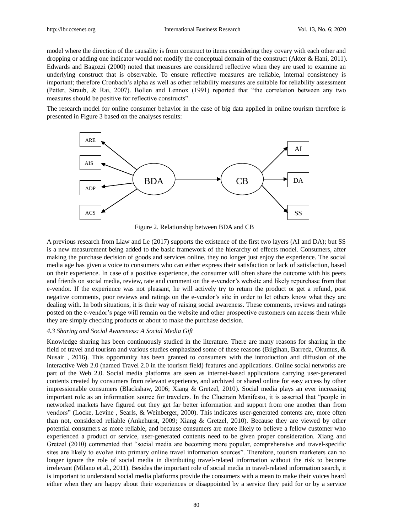model where the direction of the causality is from construct to items considering they covary with each other and dropping or adding one indicator would not modify the conceptual domain of the construct (Akter & Hani, 2011). Edwards and Bagozzi (2000) noted that measures are considered reflective when they are used to examine an underlying construct that is observable. To ensure reflective measures are reliable, internal consistency is important; therefore Cronbach's alpha as well as other reliability measures are suitable for reliability assessment (Petter, Straub, & Rai, 2007). Bollen and Lennox (1991) reported that "the correlation between any two measures should be positive for reflective constructs".

The research model for online consumer behavior in the case of big data applied in online tourism therefore is presented in Figure 3 based on the analyses results:



Figure 2. Relationship between BDA and CB

A previous research from Liaw and Le (2017) supports the existence of the first two layers (AI and DA); but SS is a new measurement being added to the basic framework of the hierarchy of effects model. Consumers, after making the purchase decision of goods and services online, they no longer just enjoy the experience. The social media age has given a voice to consumers who can either express their satisfaction or lack of satisfaction, based on their experience. In case of a positive experience, the consumer will often share the outcome with his peers and friends on social media, review, rate and comment on the e-vendor's website and likely repurchase from that e-vendor. If the experience was not pleasant, he will actively try to return the product or get a refund, post negative comments, poor reviews and ratings on the e-vendor's site in order to let others know what they are dealing with. In both situations, it is their way of raising social awareness. These comments, reviews and ratings posted on the e-vendor's page will remain on the website and other prospective customers can access them while they are simply checking products or about to make the purchase decision.

## *4.3 Sharing and Social Awareness: A Social Media Gift*

Knowledge sharing has been continuously studied in the literature. There are many reasons for sharing in the field of travel and tourism and various studies emphasized some of these reasons (Bilgihan, Barreda, Okumus, & Nusair , 2016). This opportunity has been granted to consumers with the introduction and diffusion of the interactive Web 2.0 (named Travel 2.0 in the tourism field) features and applications. Online social networks are part of the Web 2.0. Social media platforms are seen as internet-based applications carrying user-generated contents created by consumers from relevant experience, and archived or shared online for easy access by other impressionable consumers (Blackshaw, 2006; Xiang & Gretzel, 2010). Social media plays an ever increasing important role as an information source for travelers. In the Cluetrain Manifesto, it is asserted that "people in networked markets have figured out they get far better information and support from one another than from vendors" (Locke, Levine , Searls, & Weinberger, 2000). This indicates user-generated contents are, more often than not, considered reliable (Ankehurst, 2009; Xiang & Gretzel, 2010). Because they are viewed by other potential consumers as more reliable, and because consumers are more likely to believe a fellow customer who experienced a product or service, user-generated contents need to be given proper consideration. Xiang and Gretzel (2010) commented that "social media are becoming more popular, comprehensive and travel-specific sites are likely to evolve into primary online travel information sources". Therefore, tourism marketers can no longer ignore the role of social media in distributing travel-related information without the risk to become irrelevant (Milano et al., 2011). Besides the important role of social media in travel-related information search, it is important to understand social media platforms provide the consumers with a mean to make their voices heard either when they are happy about their experiences or disappointed by a service they paid for or by a service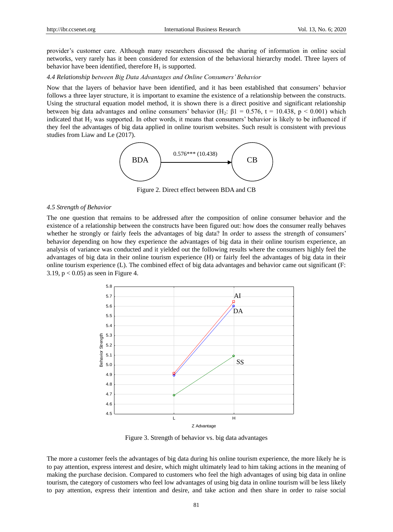provider's customer care. Although many researchers discussed the sharing of information in online social networks, very rarely has it been considered for extension of the behavioral hierarchy model. Three layers of behavior have been identified, therefore  $H_1$  is supported.

## *4.4 Relationship between Big Data Advantages and Online Consumers' Behavior*

Now that the layers of behavior have been identified, and it has been established that consumers' behavior follows a three layer structure, it is important to examine the existence of a relationship between the constructs. Using the structural equation model method, it is shown there is a direct positive and significant relationship between big data advantages and online consumers' behavior (H<sub>2</sub>:  $\beta$ 1 = 0.576, t = 10.438, p < 0.001) which indicated that  $H_2$  was supported. In other words, it means that consumers' behavior is likely to be influenced if they feel the advantages of big data applied in online tourism websites. Such result is consistent with previous studies from Liaw and Le (2017).



Figure 2. Direct effect between BDA and CB

#### *4.5 Strength of Behavior*

The one question that remains to be addressed after the composition of online consumer behavior and the existence of a relationship between the constructs have been figured out: how does the consumer really behaves whether he strongly or fairly feels the advantages of big data? In order to assess the strength of consumers' behavior depending on how they experience the advantages of big data in their online tourism experience, an analysis of variance was conducted and it yielded out the following results where the consumers highly feel the advantages of big data in their online tourism experience (H) or fairly feel the advantages of big data in their online tourism experience (L). The combined effect of big data advantages and behavior came out significant (F: 3.19,  $p < 0.05$ ) as seen in Figure 4.



Figure 3. Strength of behavior vs. big data advantages

The more a customer feels the advantages of big data during his online tourism experience, the more likely he is to pay attention, express interest and desire, which might ultimately lead to him taking actions in the meaning of making the purchase decision. Compared to customers who feel the high advantages of using big data in online tourism, the category of customers who feel low advantages of using big data in online tourism will be less likely to pay attention, express their intention and desire, and take action and then share in order to raise social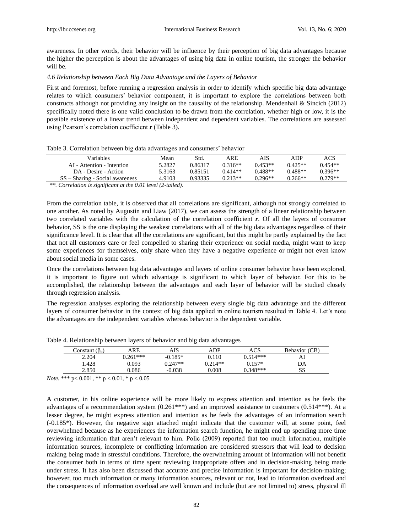awareness. In other words, their behavior will be influence by their perception of big data advantages because the higher the perception is about the advantages of using big data in online tourism, the stronger the behavior will be.

## *4.6 Relationship between Each Big Data Advantage and the Layers of Behavior*

First and foremost, before running a regression analysis in order to identify which specific big data advantage relates to which consumers' behavior component, it is important to explore the correlations between both constructs although not providing any insight on the causality of the relationship. Mendenhall & Sincich (2012) specifically noted there is one valid conclusion to be drawn from the correlation, whether high or low, it is the possible existence of a linear trend between independent and dependent variables. The correlations are assessed using Pearson's correlation coefficient *r* (Table 3).

# Table 3. Correlation between big data advantages and consumers' behavior

| Variables                                                              | Mean   | Std.    | ARE       | AIS       | ADP       | ACS       |
|------------------------------------------------------------------------|--------|---------|-----------|-----------|-----------|-----------|
| AI - Attention - Intention                                             | 5.2827 | 0.86317 | $0.316**$ | $0.453**$ | $0.425**$ | $0.454**$ |
| DA - Desire - Action                                                   | 5.3163 | 0.85151 | $0.414**$ | $0.488**$ | $0.488**$ | $0.396**$ |
| $SS - Sharine - Social awareness$                                      | 4.9103 | 0.93335 | $0.213**$ | $0.296**$ | $0.266**$ | $0.279**$ |
| $\ldots$ $\ldots$ $\ldots$<br>$\mathbf{r}$ , and a set of $\mathbf{r}$ |        |         |           |           |           |           |

*\*\*. Correlation is significant at the 0.01 level (2-tailed).*

From the correlation table, it is observed that all correlations are significant, although not strongly correlated to one another. As noted by Augustin and Liaw (2017), we can assess the strength of a linear relationship between two correlated variables with the calculation of the correlation coefficient *r*. Of all the layers of consumer behavior, SS is the one displaying the weakest correlations with all of the big data advantages regardless of their significance level. It is clear that all the correlations are significant, but this might be partly explained by the fact that not all customers care or feel compelled to sharing their experience on social media, might want to keep some experiences for themselves, only share when they have a negative experience or might not even know about social media in some cases.

Once the correlations between big data advantages and layers of online consumer behavior have been explored, it is important to figure out which advantage is significant to which layer of behavior. For this to be accomplished, the relationship between the advantages and each layer of behavior will be studied closely through regression analysis.

The regression analyses exploring the relationship between every single big data advantage and the different layers of consumer behavior in the context of big data applied in online tourism resulted in Table 4. Let's note the advantages are the independent variables whereas behavior is the dependent variable.

|                      |            |           |           | ັ          |               |
|----------------------|------------|-----------|-----------|------------|---------------|
| Constant $(\beta_0)$ | ARE        | AIS       | ADP       | <b>ACS</b> | Behavior (CB) |
| 2.204                | $0.261***$ | $-0.185*$ | 0.110     | $0.514***$ | AI            |
| .428                 | 0.093      | $0.247**$ | $0.214**$ | $0.157*$   | DA            |
| 2.850                | 0.086      | $-0.038$  | 0.008     | $0.348***$ | SS            |

Table 4. Relationship between layers of behavior and big data advantages

*Note.* \*\*\* p< 0.001, \*\* p < 0.01, \* p < 0.05

A customer, in his online experience will be more likely to express attention and intention as he feels the advantages of a recommendation system  $(0.261***)$  and an improved assistance to customers  $(0.514***)$ . At a lesser degree, he might express attention and intention as he feels the advantages of an information search (-0.185\*). However, the negative sign attached might indicate that the customer will, at some point, feel overwhelmed because as he experiences the information search function, he might end up spending more time reviewing information that aren't relevant to him. Polìc (2009) reported that too much information, multiple information sources, incomplete or conflicting information are considered stressors that will lead to decision making being made in stressful conditions. Therefore, the overwhelming amount of information will not benefit the consumer both in terms of time spent reviewing inappropriate offers and in decision-making being made under stress. It has also been discussed that accurate and precise information is important for decision-making; however, too much information or many information sources, relevant or not, lead to information overload and the consequences of information overload are well known and include (but are not limited to) stress, physical ill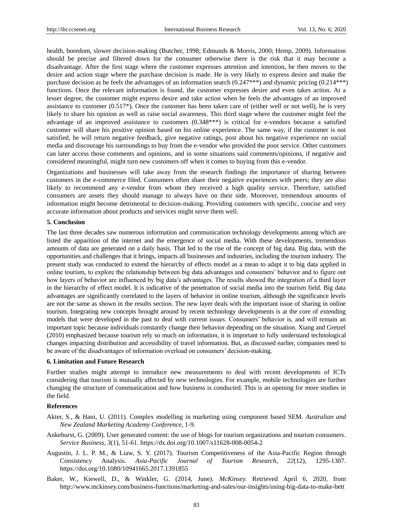health, boredom, slower decision-making (Butcher, 1998; Edmunds & Morris, 2000; Hemp, 2009). Information should be precise and filtered down for the consumer otherwise there is the risk that it may become a disadvantage. After the first stage where the customer expresses attention and intention, he then moves to the desire and action stage where the purchase decision is made. He is very likely to express desire and make the purchase decision as he feels the advantages of an information search (0.247\*\*\*) and dynamic pricing (0.214\*\*\*) functions. Once the relevant information is found, the customer expresses desire and even takes action. At a lesser degree, the customer might express desire and take action when he feels the advantages of an improved assistance to customer (0.517\*). Once the customer has been taken care of (either well or not well), he is very likely to share his opinion as well as raise social awareness. This third stage where the customer might feel the advantage of an improved assistance to customers (0.348\*\*\*) is critical for e-vendors because a satisfied customer will share his positive opinion based on his online experience. The same way, if the customer is not satisfied, he will return negative feedback, give negative ratings, post about his negative experience on social media and discourage his surroundings to buy from the e-vendor who provided the poor service. Other customers can later access those comments and opinions, and in some situations said comments/opinions, if negative and considered meaningful, might turn new customers off when it comes to buying from this e-vendor.

Organizations and businesses will take away from the research findings the importance of sharing between customers in the e-commerce filed. Consumers often share their negative experiences with peers; they are also likely to recommend any e-vendor from whom they received a high quality service. Therefore, satisfied consumers are assets they should manage to always have on their side. Moreover, tremendous amounts of information might become detrimental to decision-making. Providing customers with specific, concise and very accurate information about products and services might serve them well.

## **5. Conclusion**

The last three decades saw numerous information and communication technology developments among which are listed the apparition of the internet and the emergence of social media. With these developments, tremendous amounts of data are generated on a daily basis. That led to the rise of the concept of big data. Big data, with the opportunities and challenges that it brings, impacts all businesses and industries, including the tourism industry. The present study was conducted to extend the hierarchy of effects model as a mean to adapt it to big data applied in online tourism, to explore the relationship between big data advantages and consumers' behavior and to figure out how layers of behavior are influenced by big data's advantages. The results showed the integration of a third layer in the hierarchy of effect model. It is indicative of the penetration of social media into the tourism field. Big data advantages are significantly correlated to the layers of behavior in online tourism, although the significance levels are not the same as shown in the results section. The new layer deals with the important issue of sharing in online tourism. Integrating new concepts brought around by recent technology developments is at the core of extending models that were developed in the past to deal with current issues. Consumers' behavior is, and will remain an important topic because individuals constantly change their behavior depending on the situation. Xiang and Gretzel (2010) emphasized because tourism rely so much on information, it is important to fully understand technological changes impacting distribution and accessibility of travel information. But, as discussed earlier, companies need to be aware of the disadvantages of information overload on consumers' decision-making.

#### **6. Limitation and Future Research**

Further studies might attempt to introduce new measurements to deal with recent developments of ICTs considering that tourism is mutually affected by new technologies. For example, mobile technologies are further changing the structure of communication and how business is conducted. This is an opening for more studies in the field.

## **References**

- Akter, S., & Hani, U. (2011). Complex modelling in marketing using component based SEM. *Australian and New Zealand Marketing Academy Conference,* 1-9.
- Ankehurst, G. (2009). User generated content: the use of blogs for tourism organizations and tourism consumers. *Service Business, 3*(1), 51-61. https://dx.doi.org/10.1007/s11628-008-0054-2
- Augustin, J. L. P. M., & Liaw, S. Y. (2017). Tourism Competitiveness of the Asia-Pacific Region through Consistency Analysis. *Asia-Pacific Journal of Tourism Research, 22*(12), 1295-1307. https://doi.org/10.1080/10941665.2017.1391855
- Baker, W., Kiewell, D., & Winkler, G. (2014, June). *McKinsey.* Retrieved April 6, 2020, from http://www.mckinsey.com/business-functions/marketing-and-sales/our-insights/using-big-data-to-make-bett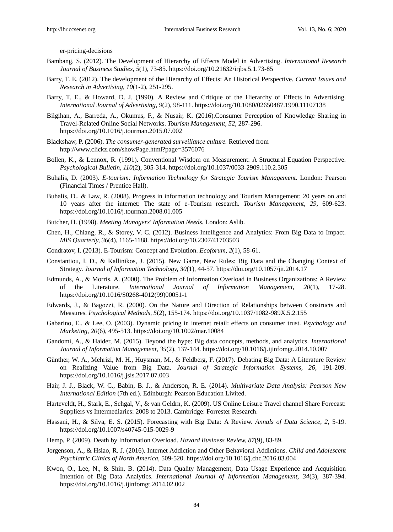er-pricing-decisions

- Bambang, S. (2012). The Development of Hierarchy of Effects Model in Advertising. *International Research Journal of Business Studies, 5*(1), 73-85. https://doi.org/10.21632/irjbs.5.1.73-85
- Barry, T. E. (2012). The development of the Hierarchy of Effects: An Historical Perspective. *Current Issues and Research in Advertising, 10*(1-2), 251-295.
- Barry, T. E., & Howard, D. J. (1990). A Review and Critique of the Hierarchy of Effects in Advertising. *International Journal of Advertising, 9*(2), 98-111. https://doi.org/10.1080/02650487.1990.11107138
- Bilgihan, A., Barreda, A., Okumus, F., & Nusair, K. (2016).Consumer Perception of Knowledge Sharing in Travel-Related Online Social Networks. *Tourism Management, 52,* 287-296. https://doi.org/10.1016/j.tourman.2015.07.002
- Blackshaw, P. (2006). *The consumer-generated surveillance culture.* Retrieved from http://www.clickz.com/showPage.html?page=3576076
- Bollen, K., & Lennox, R. (1991). Conventional Wisdom on Measurement: A Structural Equation Perspective. *Psychological Bulletin, 110*(2), 305-314. https://doi.org/10.1037/0033-2909.110.2.305
- Buhalis, D. (2003). *E-tourism: Information Technology for Strategic Tourism Management.* London: Pearson (Financial Times / Prentice Hall).
- Buhalis, D., & Law, R. (2008). Progress in information technology and Tourism Management: 20 years on and 10 years after the internet: The state of e-Tourism research. *Tourism Management, 29,* 609-623. https://doi.org/10.1016/j.tourman.2008.01.005
- Butcher, H. (1998). *Meeting Managers' Information Needs.* London: Aslib.
- Chen, H., Chiang, R., & Storey, V. C. (2012). Business Intelligence and Analytics: From Big Data to Impact. *MIS Quarterly, 36*(4), 1165-1188. https://doi.org/10.2307/41703503
- Condratov, I. (2013). E-Tourism: Concept and Evolution. *Ecoforum, 2*(1), 58-61.
- Constantiou, I. D., & Kallinikos, J. (2015). New Game, New Rules: Big Data and the Changing Context of Strategy. *Journal of Information Technology, 30*(1), 44-57. https://doi.org/10.1057/jit.2014.17
- Edmunds, A., & Morris, A. (2000). The Problem of Information Overload in Business Organizations: A Review of the Literature. *International Journal of Information Management, 20*(1), 17-28. https://doi.org/10.1016/S0268-4012(99)00051-1
- Edwards, J., & Bagozzi, R. (2000). On the Nature and Direction of Relationships between Constructs and Measures. *Psychological Methods, 5*(2), 155-174. https://doi.org/10.1037/1082-989X.5.2.155
- Gabarino, E., & Lee, O. (2003). Dynamic pricing in internet retail: effects on consumer trust. *Psychology and Marketing, 20*(6), 495-513. https://doi.org/10.1002/mar.10084
- Gandomi, A., & Haider, M. (2015). Beyond the hype: Big data concepts, methods, and analytics. *International Journal of Information Management, 35*(2), 137-144. https://doi.org/10.1016/j.ijinfomgt.2014.10.007
- Günther, W. A., Mehrizi, M. H., Huysman, M., & Feldberg, F. (2017). Debating Big Data: A Literature Review on Realizing Value from Big Data. *Journal of Strategic Information Systems, 26,* 191-209. https://doi.org/10.1016/j.jsis.2017.07.003
- Hair, J. J., Black, W. C., Babin, B. J., & Anderson, R. E. (2014). *Multivariate Data Analysis: Pearson New International Edition* (7th ed.). Edinburgh: Pearson Education Livited.
- Harteveldt, H., Stark, E., Sehgal, V., & van Geldrn, K. (2009). US Online Leisure Travel channel Share Forecast: Suppliers vs Intermediaries: 2008 to 2013. Cambridge: Forrester Research.
- Hassani, H., & Silva, E. S. (2015). Forecasting with Big Data: A Review. *Annals of Data Science, 2,* 5-19. https://doi.org/10.1007/s40745-015-0029-9
- Hemp, P. (2009). Death by Information Overload. *Havard Business Review, 87*(9), 83-89.
- Jorgenson, A., & Hsiao, R. J. (2016). Internet Addiction and Other Behavioral Addictions. *Child and Adolescent Psychiatric Clinics of North America,* 509-520. https://doi.org/10.1016/j.chc.2016.03.004
- Kwon, O., Lee, N., & Shin, B. (2014). Data Quality Management, Data Usage Experience and Acquisition Intention of Big Data Analytics. *International Journal of Information Management, 34*(3), 387-394. https://doi.org/10.1016/j.ijinfomgt.2014.02.002